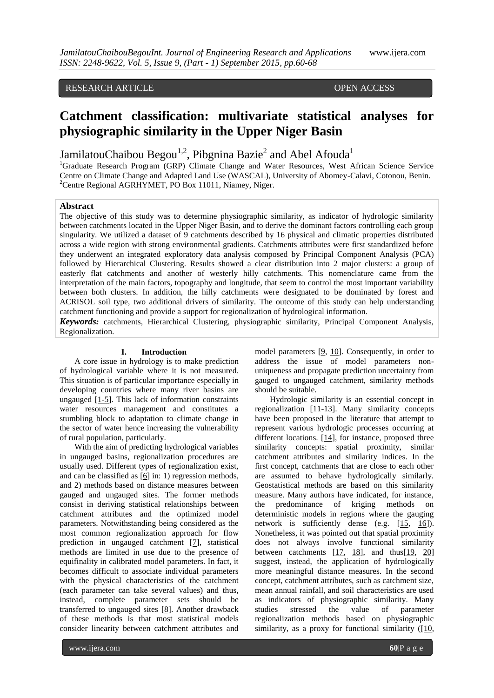# RESEARCH ARTICLE **CONTRACT AND ACCESS**

# **Catchment classification: multivariate statistical analyses for physiographic similarity in the Upper Niger Basin**

JamilatouChaibou Begou<sup>1,2</sup>, Pibgnina Bazie<sup>2</sup> and Abel Afouda<sup>1</sup>

<sup>1</sup>Graduate Research Program (GRP) Climate Change and Water Resources, West African Science Service Centre on Climate Change and Adapted Land Use (WASCAL), University of Abomey-Calavi, Cotonou, Benin. <sup>2</sup>Centre Regional AGRHYMET, PO Box 11011, Niamey, Niger.

#### **Abstract**

The objective of this study was to determine physiographic similarity, as indicator of hydrologic similarity between catchments located in the Upper Niger Basin, and to derive the dominant factors controlling each group singularity. We utilized a dataset of 9 catchments described by 16 physical and climatic properties distributed across a wide region with strong environmental gradients. Catchments attributes were first standardized before they underwent an integrated exploratory data analysis composed by Principal Component Analysis (PCA) followed by Hierarchical Clustering. Results showed a clear distribution into 2 major clusters: a group of easterly flat catchments and another of westerly hilly catchments. This nomenclature came from the interpretation of the main factors, topography and longitude, that seem to control the most important variability between both clusters. In addition, the hilly catchments were designated to be dominated by forest and ACRISOL soil type, two additional drivers of similarity. The outcome of this study can help understanding catchment functioning and provide a support for regionalization of hydrological information.

*Keywords:* catchments, Hierarchical Clustering, physiographic similarity, Principal Component Analysis, Regionalization.

# **I. Introduction**

A core issue in hydrology is to make prediction of hydrological variable where it is not measured. This situation is of particular importance especially in developing countries where many river basins are ungauged [1-5]. This lack of information constraints water resources management and constitutes a stumbling block to adaptation to climate change in the sector of water hence increasing the vulnerability of rural population, particularly.

With the aim of predicting hydrological variables in ungauged basins, regionalization procedures are usually used. Different types of regionalization exist, and can be classified as  $[6]$  in: 1) regression methods, and 2) methods based on distance measures between gauged and ungauged sites. The former methods consist in deriving statistical relationships between catchment attributes and the optimized model parameters. Notwithstanding being considered as the most common regionalization approach for flow prediction in ungauged catchment [7], statistical methods are limited in use due to the presence of equifinality in calibrated model parameters. In fact, it becomes difficult to associate individual parameters with the physical characteristics of the catchment (each parameter can take several values) and thus, instead, complete parameter sets should be transferred to ungauged sites [8]. Another drawback of these methods is that most statistical models consider linearity between catchment attributes and

model parameters [9, 10]. Consequently, in order to address the issue of model parameters nonuniqueness and propagate prediction uncertainty from gauged to ungauged catchment, similarity methods should be suitable.

Hydrologic similarity is an essential concept in regionalization [11-13]. Many similarity concepts have been proposed in the literature that attempt to represent various hydrologic processes occurring at different locations. [14], for instance, proposed three similarity concepts: spatial proximity, similar catchment attributes and similarity indices. In the first concept, catchments that are close to each other are assumed to behave hydrologically similarly. Geostatistical methods are based on this similarity measure. Many authors have indicated, for instance, the predominance of kriging methods on deterministic models in regions where the gauging network is sufficiently dense (e.g. [15, 16]). Nonetheless, it was pointed out that spatial proximity does not always involve functional similarity between catchments  $[17, 18]$ , and thus $[19, 20]$ suggest, instead, the application of hydrologically more meaningful distance measures. In the second concept, catchment attributes, such as catchment size, mean annual rainfall, and soil characteristics are used as indicators of physiographic similarity. Many studies stressed the value of parameter regionalization methods based on physiographic similarity, as a proxy for functional similarity  $([10,$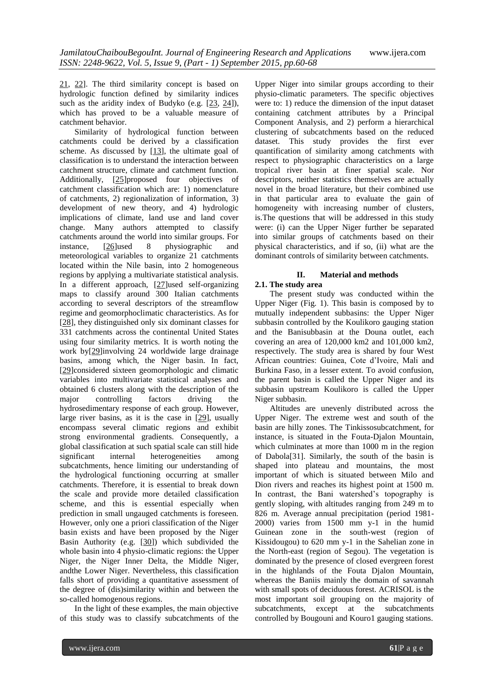21, 22]. The third similarity concept is based on hydrologic function defined by similarity indices such as the aridity index of Budyko (e.g. [23, 24]), which has proved to be a valuable measure of catchment behavior.

Similarity of hydrological function between catchments could be derived by a classification scheme. As discussed by  $[13]$ , the ultimate goal of classification is to understand the interaction between catchment structure, climate and catchment function. Additionally, [25]proposed four objectives of catchment classification which are: 1) nomenclature of catchments, 2) regionalization of information, 3) development of new theory, and 4) hydrologic implications of climate, land use and land cover change. Many authors attempted to classify catchments around the world into similar groups. For instance, [26]used 8 physiographic and meteorological variables to organize 21 catchments located within the Nile basin, into 2 homogeneous regions by applying a multivariate statistical analysis. In a different approach, [27]used self-organizing maps to classify around 300 Italian catchments according to several descriptors of the streamflow regime and geomorphoclimatic characteristics. As for [28], they distinguished only six dominant classes for 331 catchments across the continental United States using four similarity metrics. It is worth noting the work by[29]involving 24 worldwide large drainage basins, among which, the Niger basin. In fact, [29]considered sixteen geomorphologic and climatic variables into multivariate statistical analyses and obtained 6 clusters along with the description of the major controlling factors driving the hydrosedimentary response of each group. However, large river basins, as it is the case in [29], usually encompass several climatic regions and exhibit strong environmental gradients. Consequently, a global classification at such spatial scale can still hide significant internal heterogeneities among subcatchments, hence limiting our understanding of the hydrological functioning occurring at smaller catchments. Therefore, it is essential to break down the scale and provide more detailed classification scheme, and this is essential especially when prediction in small ungauged catchments is foreseen. However, only one a priori classification of the Niger basin exists and have been proposed by the Niger Basin Authority (e.g. [30]) which subdivided the whole basin into 4 physio-climatic regions: the Upper Niger, the Niger Inner Delta, the Middle Niger, andthe Lower Niger. Nevertheless, this classification falls short of providing a quantitative assessment of the degree of (dis)similarity within and between the so-called homogenous regions.

In the light of these examples, the main objective of this study was to classify subcatchments of the

Upper Niger into similar groups according to their physio-climatic parameters. The specific objectives were to: 1) reduce the dimension of the input dataset containing catchment attributes by a Principal Component Analysis, and 2) perform a hierarchical clustering of subcatchments based on the reduced dataset. This study provides the first ever quantification of similarity among catchments with respect to physiographic characteristics on a large tropical river basin at finer spatial scale. Nor descriptors, neither statistics themselves are actually novel in the broad literature, but their combined use in that particular area to evaluate the gain of homogeneity with increasing number of clusters, is.The questions that will be addressed in this study were: (i) can the Upper Niger further be separated into similar groups of catchments based on their physical characteristics, and if so, (ii) what are the dominant controls of similarity between catchments.

#### **II. Material and methods 2.1. The study area**

The present study was conducted within the Upper Niger (Fig. 1). This basin is composed by to mutually independent subbasins: the Upper Niger subbasin controlled by the Koulikoro gauging station and the Banisubbasin at the Douna outlet, each covering an area of 120,000 km2 and 101,000 km2, respectively. The study area is shared by four West African countries: Guinea, Cote d'Ivoire, Mali and Burkina Faso, in a lesser extent. To avoid confusion, the parent basin is called the Upper Niger and its subbasin upstream Koulikoro is called the Upper Niger subbasin.

Altitudes are unevenly distributed across the Upper Niger. The extreme west and south of the basin are hilly zones. The Tinkissosubcatchment, for instance, is situated in the Fouta-Djalon Mountain, which culminates at more than 1000 m in the region of Dabola[31]. Similarly, the south of the basin is shaped into plateau and mountains, the most important of which is situated between Milo and Dion rivers and reaches its highest point at 1500 m. In contrast, the Bani watershed's topography is gently sloping, with altitudes ranging from 249 m to 826 m. Average annual precipitation (period 1981- 2000) varies from 1500 mm y-1 in the humid Guinean zone in the south-west (region of Kissidougou) to 620 mm y-1 in the Sahelian zone in the North-east (region of Segou). The vegetation is dominated by the presence of closed evergreen forest in the highlands of the Fouta Djalon Mountain, whereas the Baniis mainly the domain of savannah with small spots of deciduous forest. ACRISOL is the most important soil grouping on the majority of subcatchments, except at the subcatchments controlled by Bougouni and Kouro1 gauging stations.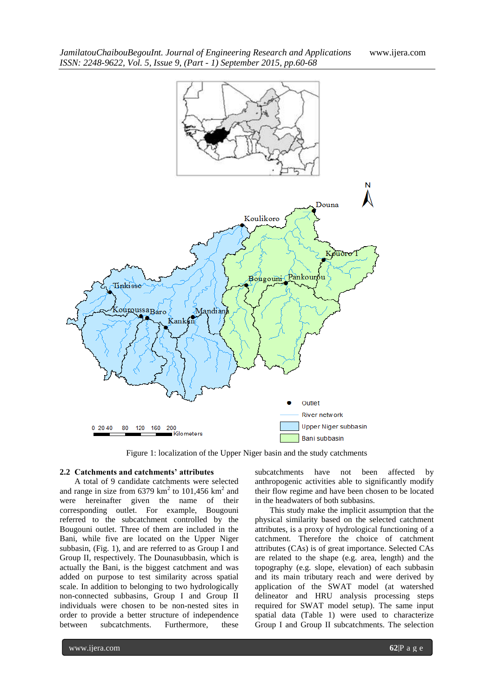

Figure 1: localization of the Upper Niger basin and the study catchments

#### **2.2 Catchments and catchments' attributes**

A total of 9 candidate catchments were selected and range in size from  $6379 \text{ km}^2$  to  $101,456 \text{ km}^2$  and were hereinafter given the name of their corresponding outlet. For example, Bougouni referred to the subcatchment controlled by the Bougouni outlet. Three of them are included in the Bani, while five are located on the Upper Niger subbasin, (Fig. 1), and are referred to as Group I and Group II, respectively. The Dounasubbasin, which is actually the Bani, is the biggest catchment and was added on purpose to test similarity across spatial scale. In addition to belonging to two hydrologically non-connected subbasins, Group I and Group II individuals were chosen to be non-nested sites in order to provide a better structure of independence between subcatchments. Furthermore, these

subcatchments have not been affected by anthropogenic activities able to significantly modify their flow regime and have been chosen to be located in the headwaters of both subbasins.

This study make the implicit assumption that the physical similarity based on the selected catchment attributes, is a proxy of hydrological functioning of a catchment. Therefore the choice of catchment attributes (CAs) is of great importance. Selected CAs are related to the shape (e.g. area, length) and the topography (e.g. slope, elevation) of each subbasin and its main tributary reach and were derived by application of the SWAT model (at watershed delineator and HRU analysis processing steps required for SWAT model setup). The same input spatial data (Table 1) were used to characterize Group I and Group II subcatchments. The selection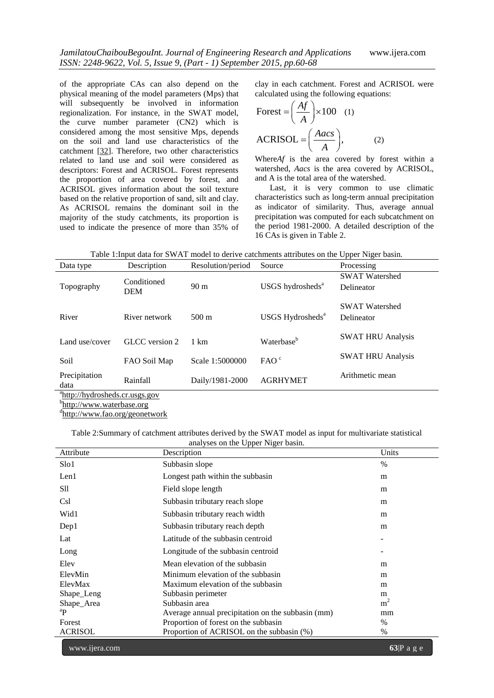of the appropriate CAs can also depend on the physical meaning of the model parameters (Mps) that will subsequently be involved in information regionalization. For instance, in the SWAT model, the curve number parameter (CN2) which is considered among the most sensitive Mps, depends on the soil and land use characteristics of the catchment [32]. Therefore, two other characteristics related to land use and soil were considered as descriptors: Forest and ACRISOL. Forest represents the proportion of area covered by forest, and ACRISOL gives information about the soil texture based on the relative proportion of sand, silt and clay. As ACRISOL remains the dominant soil in the majority of the study catchments, its proportion is used to indicate the presence of more than 35% of clay in each catchment. Forest and ACRISOL were calculated using the following equations:

$$
\text{Forest} = \left(\frac{Af}{A}\right) \times 100 \quad (1)
$$
\n
$$
\text{ACRISOL} = \left(\frac{Aacs}{A}\right), \quad (2)
$$

Where*Af* is the area covered by forest within a watershed, *Aacs* is the area covered by ACRISOL, and A is the total area of the watershed.

Last, it is very common to use climatic characteristics such as long-term annual precipitation as indicator of similarity. Thus, average annual precipitation was computed for each subcatchment on the period 1981-2000. A detailed description of the 16 CAs is given in Table 2.

Table 1:Input data for SWAT model to derive catchments attributes on the Upper Niger basin.

|                                         |                           |                   |                              | . .<br>$\circ$                      |  |  |
|-----------------------------------------|---------------------------|-------------------|------------------------------|-------------------------------------|--|--|
| Data type                               | Description               | Resolution/period | Source                       | Processing                          |  |  |
| Topography                              | Conditioned<br><b>DEM</b> | 90 <sub>m</sub>   | USGS hydrosheds <sup>a</sup> | <b>SWAT Watershed</b><br>Delineator |  |  |
|                                         |                           |                   |                              |                                     |  |  |
|                                         |                           |                   |                              | <b>SWAT Watershed</b>               |  |  |
| River                                   | River network             | $500 \text{ m}$   | USGS Hydrosheds <sup>a</sup> | Delineator                          |  |  |
|                                         |                           |                   |                              | <b>SWAT HRU Analysis</b>            |  |  |
| Land use/cover                          | GLCC version 2            | 1 km              | Waterbase <sup>b</sup>       |                                     |  |  |
| Soil                                    | FAO Soil Map              | Scale 1:5000000   | FAO <sup>c</sup>             | <b>SWAT HRU Analysis</b>            |  |  |
| Precipitation                           | Rainfall                  | Daily/1981-2000   | <b>AGRHYMET</b>              | Arithmetic mean                     |  |  |
| data                                    |                           |                   |                              |                                     |  |  |
| $31 \t{11} \t{13} \t{14} \t{15} \t{16}$ |                           |                   |                              |                                     |  |  |

a [http://hydrosheds.cr.usgs.gov](http://hydrosheds.cr.usgs.gov/)

b<sub>[http://www.waterbase.org](http://www.waterbase.org/)</sub>

d <http://www.fao.org/geonetwork>

Table 2:Summary of catchment attributes derived by the SWAT model as input for multivariate statistical analyses on the Upper Niger basin.

| Attribute      | Description                                       | Units          |
|----------------|---------------------------------------------------|----------------|
| Slo1           | Subbasin slope                                    | $\%$           |
| Len1           | Longest path within the subbasin                  | m              |
| Sll            | Field slope length                                | m              |
| Csl            | Subbasin tributary reach slope                    | m              |
| Wid1           | Subbasin tributary reach width                    | m              |
| Dep1           | Subbasin tributary reach depth                    | m              |
| Lat            | Latitude of the subbasin centroid                 |                |
| Long           | Longitude of the subbasin centroid                |                |
| Elev           | Mean elevation of the subbasin                    | m              |
| ElevMin        | Minimum elevation of the subbasin                 | m              |
| ElevMax        | Maximum elevation of the subbasin                 | m              |
| Shape_Leng     | Subbasin perimeter                                | m              |
| Shape_Area     | Subbasin area                                     | m <sup>2</sup> |
| $\rm ^{a}P$    | Average annual precipitation on the subbasin (mm) | mm             |
| Forest         | Proportion of forest on the subbasin              | $\%$           |
| <b>ACRISOL</b> | Proportion of ACRISOL on the subbasin (%)         | %              |
|                |                                                   |                |

www.ijera.com **63**|P a g e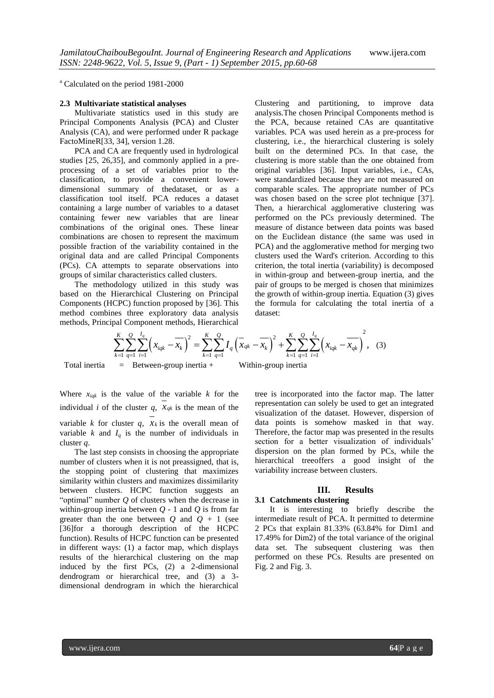<sup>a</sup> Calculated on the period 1981-2000

#### **2.3 Multivariate statistical analyses**

Multivariate statistics used in this study are Principal Components Analysis (PCA) and Cluster Analysis (CA), and were performed under R package FactoMineR[33, 34], version 1.28.

PCA and CA are frequently used in hydrological studies [25, 26,35], and commonly applied in a preprocessing of a set of variables prior to the classification, to provide a convenient lowerdimensional summary of thedataset, or as a classification tool itself. PCA reduces a dataset containing a large number of variables to a dataset containing fewer new variables that are linear combinations of the original ones. These linear combinations are chosen to represent the maximum possible fraction of the variability contained in the original data and are called Principal Components (PCs). CA attempts to separate observations into groups of similar characteristics called clusters.

The methodology utilized in this study was based on the Hierarchical Clustering on Principal Components (HCPC) function proposed by [36]. This method combines three exploratory data analysis

Clustering and partitioning, to improve data analysis.The chosen Principal Components method is the PCA, because retained CAs are quantitative variables. PCA was used herein as a pre-process for clustering, i.e., the hierarchical clustering is solely built on the determined PCs. In that case, the clustering is more stable than the one obtained from original variables [36]. Input variables, i.e., CAs, were standardized because they are not measured on comparable scales. The appropriate number of PCs was chosen based on the scree plot technique [37]. Then, a hierarchical agglomerative clustering was performed on the PCs previously determined. The measure of distance between data points was based on the Euclidean distance (the same was used in PCA) and the agglomerative method for merging two clusters used the Ward's criterion. According to this criterion, the total inertia (variability) is decomposed in within-group and between-group inertia, and the pair of groups to be merged is chosen that minimizes the growth of within-group inertia. Equation (3) gives the formula for calculating the total inertia of a dataset:

Components (HCPC) function proposed by [36]. This method combines three exploratory data analysis methods, Principal Component methods, Hierarchical methods, Hierarchical methods, Hierarchical

\n
$$
\sum_{k=1}^{K} \sum_{q=1}^{Q} \sum_{i=1}^{I_q} \left( x_{iqk} - \overline{x_k} \right)^2 = \sum_{k=1}^{K} \sum_{q=1}^{Q} I_q \left( \overline{x}_{qk} - \overline{x_k} \right)^2 + \sum_{k=1}^{K} \sum_{q=1}^{Q} \sum_{i=1}^{I_q} \left( x_{iqk} - \overline{x_{qk}} \right)^2,
$$
\nTotal inertia = Between-group inertia + Within-group inertia

Where  $x_{i q k}$  is the value of the variable  $k$  for the individual *i* of the cluster  $q$ ,  $x_{qk}$  is the mean of the variable *k* for cluster *q*,  $x_k$  is the overall mean of variable  $k$  and  $I_q$  is the number of individuals in cluster *q*.

The last step consists in choosing the appropriate number of clusters when it is not preassigned, that is, the stopping point of clustering that maximizes similarity within clusters and maximizes dissimilarity between clusters. HCPC function suggests an "optimal" number  $Q$  of clusters when the decrease in within-group inertia between  $Q - 1$  and  $Q$  is from far greater than the one between  $Q$  and  $Q + 1$  (see [36]for a thorough description of the HCPC function). Results of HCPC function can be presented in different ways: (1) a factor map, which displays results of the hierarchical clustering on the map induced by the first PCs, (2) a 2-dimensional dendrogram or hierarchical tree, and (3) a 3 dimensional dendrogram in which the hierarchical

tree is incorporated into the factor map. The latter representation can solely be used to get an integrated visualization of the dataset. However, dispersion of data points is somehow masked in that way. Therefore, the factor map was presented in the results section for a better visualization of individuals' dispersion on the plan formed by PCs, while the hierarchical treeoffers a good insight of the variability increase between clusters.

#### **III. Results**

# **3.1 Catchments clustering**

It is interesting to briefly describe the intermediate result of PCA. It permitted to determine 2 PCs that explain 81.33% (63.84% for Dim1 and 17.49% for Dim2) of the total variance of the original data set. The subsequent clustering was then performed on these PCs. Results are presented on Fig. 2 and Fig. 3.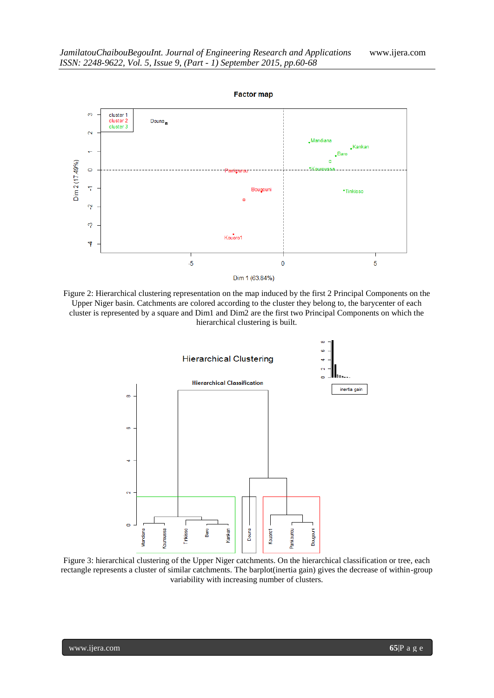

Figure 2: Hierarchical clustering representation on the map induced by the first 2 Principal Components on the Upper Niger basin. Catchments are colored according to the cluster they belong to, the barycenter of each cluster is represented by a square and Dim1 and Dim2 are the first two Principal Components on which the hierarchical clustering is built.



Figure 3: hierarchical clustering of the Upper Niger catchments. On the hierarchical classification or tree, each rectangle represents a cluster of similar catchments. The barplot(inertia gain) gives the decrease of within-group variability with increasing number of clusters.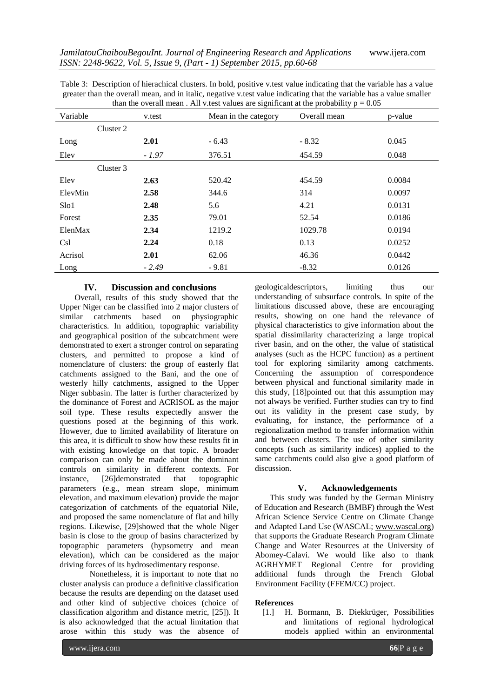| Variable  | v.test  | $\mu$ and the overall fileally the victor variation are significant at the probability $p = 0.05$<br>Mean in the category | Overall mean | p-value |
|-----------|---------|---------------------------------------------------------------------------------------------------------------------------|--------------|---------|
| Cluster 2 |         |                                                                                                                           |              |         |
| Long      | 2.01    | $-6.43$                                                                                                                   | $-8.32$      | 0.045   |
| Elev      | $-1.97$ | 376.51                                                                                                                    | 454.59       | 0.048   |
| Cluster 3 |         |                                                                                                                           |              |         |
| Elev      | 2.63    | 520.42                                                                                                                    | 454.59       | 0.0084  |
| ElevMin   | 2.58    | 344.6                                                                                                                     | 314          | 0.0097  |
| Slo1      | 2.48    | 5.6                                                                                                                       | 4.21         | 0.0131  |
| Forest    | 2.35    | 79.01                                                                                                                     | 52.54        | 0.0186  |
| ElenMax   | 2.34    | 1219.2                                                                                                                    | 1029.78      | 0.0194  |
| Csl       | 2.24    | 0.18                                                                                                                      | 0.13         | 0.0252  |
| Acrisol   | 2.01    | 62.06                                                                                                                     | 46.36        | 0.0442  |
| Long      | $-2.49$ | $-9.81$                                                                                                                   | $-8.32$      | 0.0126  |

Table 3: Description of hierachical clusters. In bold, positive v.test value indicating that the variable has a value greater than the overall mean, and in italic, negative v.test value indicating that the variable has a value smaller than the overall mean. All v, test values are significant at the probability  $p = 0.05$ 

#### **IV. Discussion and conclusions**

Overall, results of this study showed that the Upper Niger can be classified into 2 major clusters of similar catchments based on physiographic characteristics. In addition, topographic variability and geographical position of the subcatchment were demonstrated to exert a stronger control on separating clusters, and permitted to propose a kind of nomenclature of clusters: the group of easterly flat catchments assigned to the Bani, and the one of westerly hilly catchments, assigned to the Upper Niger subbasin. The latter is further characterized by the dominance of Forest and ACRISOL as the major soil type. These results expectedly answer the questions posed at the beginning of this work. However, due to limited availability of literature on this area, it is difficult to show how these results fit in with existing knowledge on that topic. A broader comparison can only be made about the dominant controls on similarity in different contexts. For instance, [26]demonstrated that topographic parameters (e.g., mean stream slope, minimum elevation, and maximum elevation) provide the major categorization of catchments of the equatorial Nile, and proposed the same nomenclature of flat and hilly regions. Likewise, [29]showed that the whole Niger basin is close to the group of basins characterized by topographic parameters (hypsometry and mean elevation), which can be considered as the major driving forces of its hydrosedimentary response.

Nonetheless, it is important to note that no cluster analysis can produce a definitive classification because the results are depending on the dataset used and other kind of subjective choices (choice of classification algorithm and distance metric, [25]). It is also acknowledged that the actual limitation that arose within this study was the absence of

geologicaldescriptors, limiting thus our understanding of subsurface controls. In spite of the limitations discussed above, these are encouraging results, showing on one hand the relevance of physical characteristics to give information about the spatial dissimilarity characterizing a large tropical river basin, and on the other, the value of statistical analyses (such as the HCPC function) as a pertinent tool for exploring similarity among catchments. Concerning the assumption of correspondence between physical and functional similarity made in this study, [18]pointed out that this assumption may not always be verified. Further studies can try to find out its validity in the present case study, by evaluating, for instance, the performance of a regionalization method to transfer information within and between clusters. The use of other similarity concepts (such as similarity indices) applied to the same catchments could also give a good platform of discussion.

### **V. Acknowledgements**

This study was funded by the German Ministry of Education and Research (BMBF) through the West African Science Service Centre on Climate Change and Adapted Land Use (WASCAL; [www.wascal.org\)](http://www.wascal.org/) that supports the Graduate Research Program Climate Change and Water Resources at the University of Abomey-Calavi. We would like also to thank AGRHYMET Regional Centre for providing additional funds through the French Global Environment Facility (FFEM/CC) project.

# **References**

[1.] H. Bormann, B. Diekkrüger, Possibilities and limitations of regional hydrological models applied within an environmental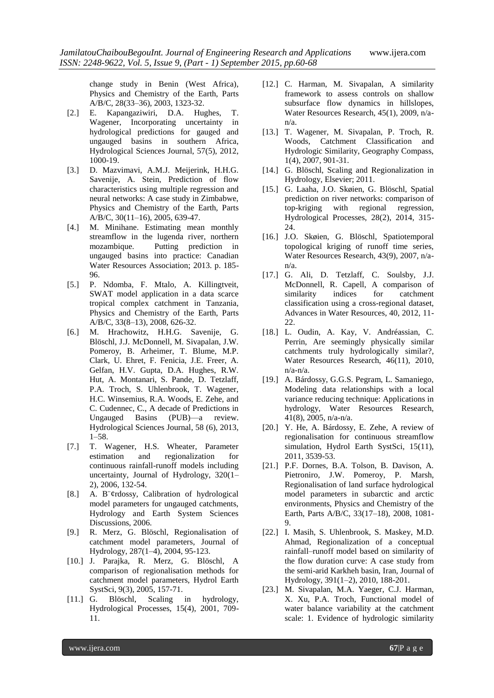change study in Benin (West Africa), Physics and Chemistry of the Earth, Parts A/B/C, 28(33–36), 2003, 1323-32.

- [2.] E. Kapangaziwiri, D.A. Hughes, T. Wagener, Incorporating uncertainty in hydrological predictions for gauged and ungauged basins in southern Africa, Hydrological Sciences Journal, 57(5), 2012, 1000-19.
- [3.] D. Mazvimavi, A.M.J. Meijerink, H.H.G. Savenije, A. Stein, Prediction of flow characteristics using multiple regression and neural networks: A case study in Zimbabwe, Physics and Chemistry of the Earth, Parts A/B/C, 30(11–16), 2005, 639-47.
- [4.] M. Minihane. Estimating mean monthly streamflow in the lugenda river, northern mozambique. Putting prediction in ungauged basins into practice: Canadian Water Resources Association; 2013. p. 185- 96.
- [5.] P. Ndomba, F. Mtalo, A. Killingtveit, SWAT model application in a data scarce tropical complex catchment in Tanzania, Physics and Chemistry of the Earth, Parts A/B/C, 33(8–13), 2008, 626-32.
- [6.] M. Hrachowitz, H.H.G. Savenije, G. Blöschl, J.J. McDonnell, M. Sivapalan, J.W. Pomeroy, B. Arheimer, T. Blume, M.P. Clark, U. Ehret, F. Fenicia, J.E. Freer, A. Gelfan, H.V. Gupta, D.A. Hughes, R.W. Hut, A. Montanari, S. Pande, D. Tetzlaff, P.A. Troch, S. Uhlenbrook, T. Wagener, H.C. Winsemius, R.A. Woods, E. Zehe, and C. Cudennec, C., A decade of Predictions in Ungauged Basins (PUB)—a review. Hydrological Sciences Journal, 58 (6), 2013, 1–58.
- [7.] T. Wagener, H.S. Wheater, Parameter estimation and regionalization for continuous rainfall-runoff models including uncertainty, Journal of Hydrology, 320(1– 2), 2006, 132-54.
- [8.] A. B¨¢rdossy, Calibration of hydrological model parameters for ungauged catchments, Hydrology and Earth System Sciences Discussions, 2006.
- [9.] R. Merz, G. Blöschl, Regionalisation of catchment model parameters, Journal of Hydrology, 287(1–4), 2004, 95-123.
- [10.] J. Parajka, R. Merz, G. Blöschl, A comparison of regionalisation methods for catchment model parameters, Hydrol Earth SystSci, 9(3), 2005, 157-71.
- [11.] G. Blöschl, Scaling in hydrology, Hydrological Processes, 15(4), 2001, 709- 11.
- [12.] C. Harman, M. Sivapalan, A similarity framework to assess controls on shallow subsurface flow dynamics in hillslopes, Water Resources Research, 45(1), 2009, n/an/a.
- [13.] T. Wagener, M. Sivapalan, P. Troch, R. Woods, Catchment Classification and Hydrologic Similarity, Geography Compass, 1(4), 2007, 901-31.
- [14.] G. Blöschl, Scaling and Regionalization in Hydrology, Elsevier; 2011.
- [15.] G. Laaha, J.O. Skøien, G. Blöschl, Spatial prediction on river networks: comparison of top-kriging with regional regression, Hydrological Processes, 28(2), 2014, 315- 24.
- [16.] J.O. Skøien, G. Blöschl, Spatiotemporal topological kriging of runoff time series, Water Resources Research, 43(9), 2007, n/an/a.
- [17.] G. Ali, D. Tetzlaff, C. Soulsby, J.J. McDonnell, R. Capell, A comparison of similarity indices for catchment classification using a cross-regional dataset, Advances in Water Resources, 40, 2012, 11- 22.
- [18.] L. Oudin, A. Kay, V. Andréassian, C. Perrin, Are seemingly physically similar catchments truly hydrologically similar?, Water Resources Research, 46(11), 2010, n/a-n/a.
- [19.] A. Bárdossy, G.G.S. Pegram, L. Samaniego, Modeling data relationships with a local variance reducing technique: Applications in hydrology, Water Resources Research, 41(8), 2005, n/a-n/a.
- [20.] Y. He, A. Bárdossy, E. Zehe, A review of regionalisation for continuous streamflow simulation, Hydrol Earth SystSci, 15(11), 2011, 3539-53.
- [21.] P.F. Dornes, B.A. Tolson, B. Davison, A. Pietroniro, J.W. Pomeroy, P. Marsh, Regionalisation of land surface hydrological model parameters in subarctic and arctic environments, Physics and Chemistry of the Earth, Parts A/B/C, 33(17–18), 2008, 1081- 9.
- [22.] I. Masih, S. Uhlenbrook, S. Maskey, M.D. Ahmad, Regionalization of a conceptual rainfall–runoff model based on similarity of the flow duration curve: A case study from the semi-arid Karkheh basin, Iran, Journal of Hydrology, 391(1–2), 2010, 188-201.
- [23.] M. Sivapalan, M.A. Yaeger, C.J. Harman, X. Xu, P.A. Troch, Functional model of water balance variability at the catchment scale: 1. Evidence of hydrologic similarity